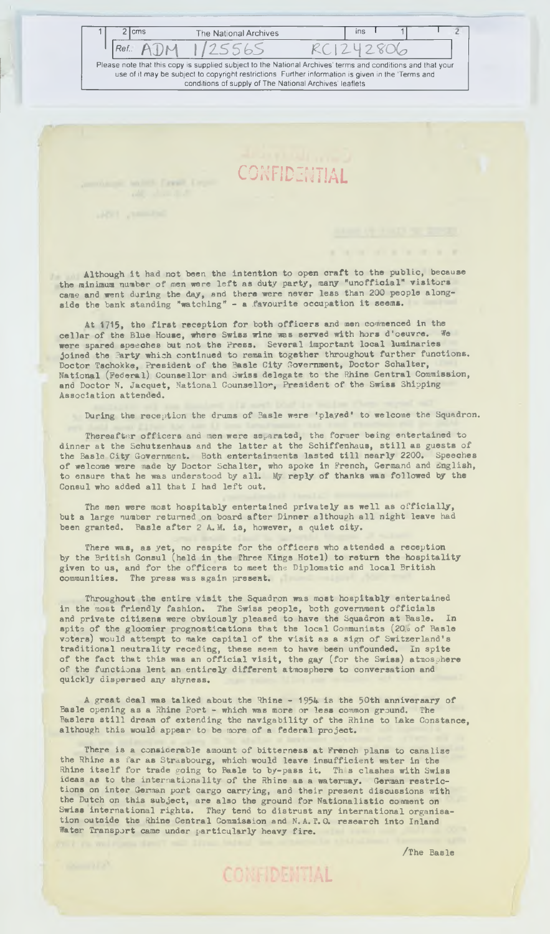Ref.: ADM 1/25565 RC1242806 **Please note that this copy is supplied subject to the National Archives' terms and conditions and that your use of it may be subject to copyright restrictions Further information is given in the Terms and conditions of supply of The National Archives' leaflets**

ō

**CONFIDENTIAL** 

2 cms The National Archives ins I

Although it had not been the intention to open craft to the public, because the minimum number of men were left as duty party, many "unofficial" visitors came and went during the day, and there were never less than 200 people along. side the bank standing "watching" - a favourite occupation it seems.

At 1715, the first reception for both officers and men commenced in the cellar of the Blue House, where Swiss wine was served with hors d'oeuvre. We were spared speeches but not the Press. Several important local luminaries joined the Party which continued to remain together throughout further functions. Doctor Tschokke, President of the Rasle City Government, Doctor Schalter, National (Federal) Counsellor and Swiss delegate to the Rhine Central Commission, and Doctor N. Jacquet, National Counsellor, President of the Swiss Shipping **A ssociation attended.**

During the reception the drums of Basle were 'played' to welcome the Squadron.

Thereafter officers and men were separated, the former being entertained to dinner at the Schutzenhaus and the latter at the Schiffenhaus, still as guests of the Basle City Government. Both entertainments lasted till nearly 2200. Speeches the Basle City Government. Both entertainments lasted till nearly 2200. of welcome were made by Doctor Schalter, who spoke in French, Germand and English, to ensure that he was understood by all. My reply of thanks was followed by the Consul who added all that I had left out.

The men were most hospitably entertained privately as well as officially, but a large number returned on board after Dinner although all night leave had been granted. Basle after 2 A. M. is, however, a quiet city.

There was, as yet, no respite for the officers who attended a reception by the British Consul (held in the Three Kings Hotel) to return the hospitality given to us, and for the officers to meet the Diplomatic and local British **communities. The press was again present.**

Throughout the entire visit the Squadron was most hospitably entertained in the most friendly fashion. The Swiss people, both government officials and private citizens were obviously pleased to have the Squadron at Basle. In spite of the gloomier prognostications that the local Communists (20,0 of Basle voters) would attempt to make capital of the visit as a sign of Switzerland's traditional neutrality receding, these seem to have been unfounded. In spite **of the fact that this was an official visit, the gay (for the Swiss) atmosphere** of the functions lent an entirely different atmosphere to conversation and **quickly dispersed any shyness.**

A great deal was talked about the Rhine - 1954 is the 50th anniversary of Basle opening as a Rhine Port - which was more or less common ground. The Baslers still dream of extending the navigability of the Rhine to Lake Constance, although this would appear to be more of a federal project.

There is a considerable amount of bitterness at French plans to canalise the Rhine as far as Strasbourg, which would leave insufficient water in the Rhine itself for trade going to Basle to by-pass it. This clashes with Swiss ideas as to the internationality of the Rhine as a waterway. German restrictions on inter German port cargo carrying, and their present discussions with the Dutch on this subject, are also the ground for Nationalistic comment on Swiss international rights. They tend to distrust any international organisation outside the Rhine Central Commission and N.A. T.O. research into Inland Water Transport came under particularly heavy fire.

CONFIDENTIAL

**/The Basle**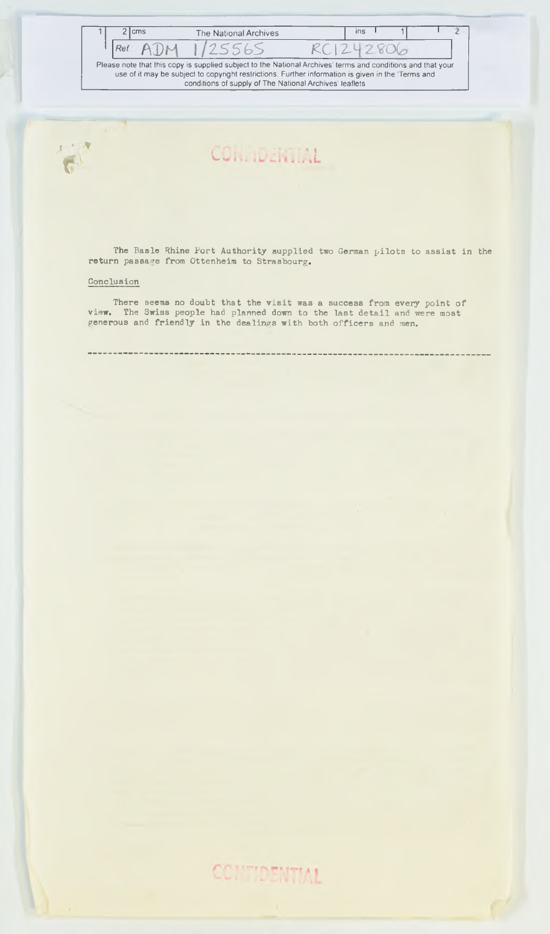| 2 Icms |                 | The National Archives                                                                                                                                                                                                                                                        |           | i <sub>ns</sub> |  |  |
|--------|-----------------|------------------------------------------------------------------------------------------------------------------------------------------------------------------------------------------------------------------------------------------------------------------------------|-----------|-----------------|--|--|
| Ref.   | A <sub>DM</sub> | 1725565                                                                                                                                                                                                                                                                      | RC1242806 |                 |  |  |
|        |                 | Please note that this copy is supplied subject to the National Archives' terms and conditions and that your<br>use of it may be subject to copyright restrictions. Further information is given in the 'Terms and<br>conditions of supply of The National Archives' leaflets |           |                 |  |  |



### **u \*L**

The Basle Rhine Port Authority supplied two German pilots to assist in the **return passage from Ottenheim to Strasbourg.**

et .

### **Conclusion**

There seems no doubt that the visit was a success from every point of **view. The Swiss people had planned down to the last detail and were most** generous and friendly in the dealings with both officers and men.

CONTIDENTIAL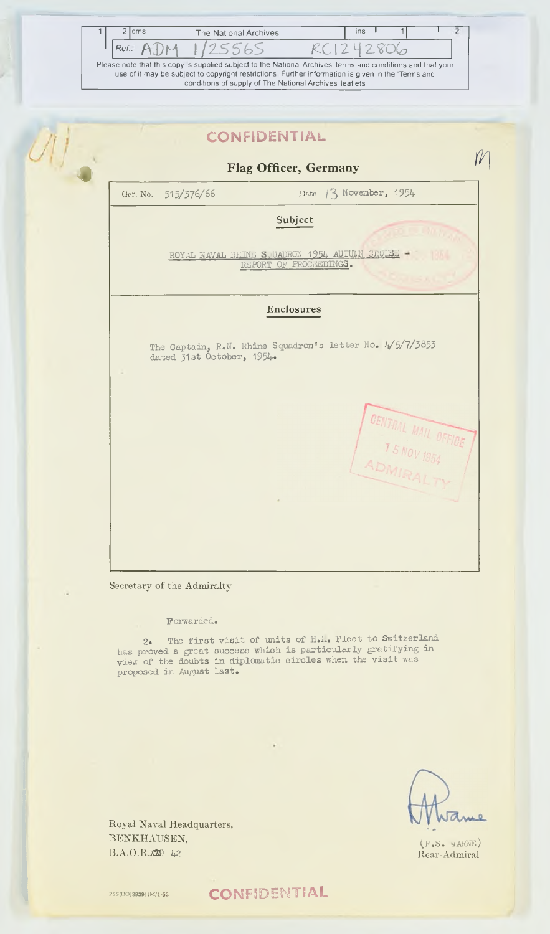| 2 cms      | The National Archives                                                                                       |           | $\sqrt{ns}$ |  |  |
|------------|-------------------------------------------------------------------------------------------------------------|-----------|-------------|--|--|
| $Ref.$ ADM | 1125565                                                                                                     | RC1242806 |             |  |  |
|            | Please note that this copy is supplied subject to the National Archives' terms and conditions and that your |           |             |  |  |
|            | use of it may be subject to copyright restrictions. Further information is given in the 'Terms and          |           |             |  |  |
|            | conditions of supply of The National Archives' leaflets                                                     |           |             |  |  |

|                           | Flag Officer, Germany                                                      |
|---------------------------|----------------------------------------------------------------------------|
| 515/376/66<br>Ger. No.    | Date $/3$ November, 1954                                                   |
|                           | Subject                                                                    |
|                           | ROYAL NAVAL RHINE S. UADRON 1954 AUTURN CRUISE -<br>REPORT OF PROCHEDINGS. |
|                           | <b>Enclosures</b>                                                          |
| dated 31st October, 1954. | The Captain, R.N. Rhine Squadron's letter No. 4/5/7/3853                   |
|                           | <b>OENTRAL MAIL OFFICE</b>                                                 |
|                           |                                                                            |

### **Forwarded.**

2. The first visit of units of H.M. Fleet to Switzerland has proved a great success which is particularly gratifying in view of the doubts in diplomatic circles when the visit was **proposed in August la s t .**

ame

**( r .s . w aene)** Rear-Admiral

Royal Naval Headquarters, BENKHAUSEN, B.A.O.R.X29 *42* 

PSS(HO)3939/1M/1-52 **CONFIDENTIAL**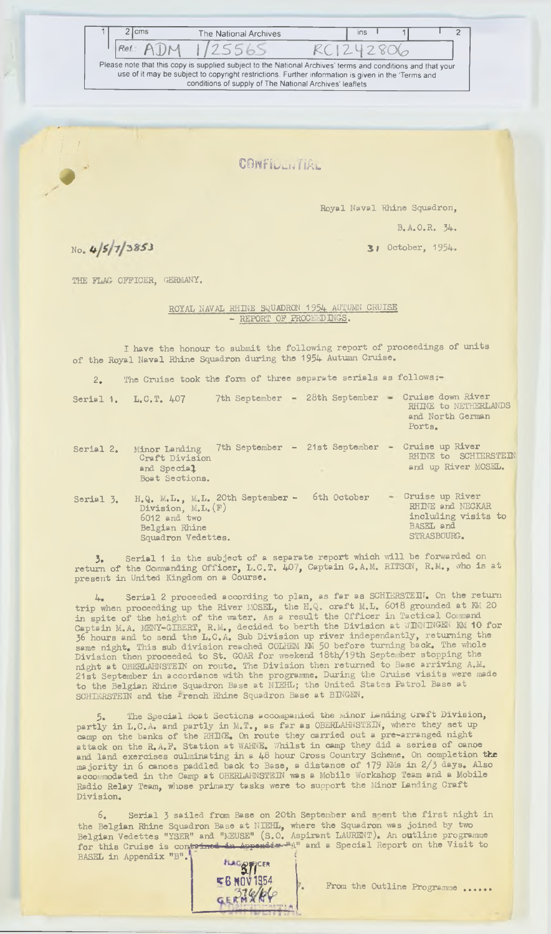Ref.: ADM 1/25565 RC1242806

2 cms The National Archives ins I 1 1 2

**Please note that this copy is supplied subject to the National Archives' terms and conditions and that your use of it may be subject to copyright restrictions. Further information is given in the 'Terms and conditions of supply of The National Archives' leaflets**

**CONFILlijTIAl**

**Royal Naval Rhine Squadron,**

**B.A.O.H. 34.**

**J j October, 1954.**

No. 4/5/7/3853

**THE FLAG OFFICER, GERMANY.**

**ROYAL NAVAL RHINE SQUADRON 1954 AUTUMN CRUISE - REPORT OF PROCEEDINGS.** 

I have the honour to submit the following report of proceedings of units of the Royal Naval Rhine Squadron during the 1954 Autumn Cruise.

2. The Cruise took the form of three separate serials as follows :-

|           | Serial 1. L.C.T. 407                                                                                              | 7th September - 28th September - |   |             | Cruise down River<br>RHINE to NETHERLANDS<br>and North German<br>Ports.                  |
|-----------|-------------------------------------------------------------------------------------------------------------------|----------------------------------|---|-------------|------------------------------------------------------------------------------------------|
| Serial 2. | Minor Landing<br>Craft Division<br>and Special<br>Boat Sections.                                                  | 7th September - 21st September - | ÷ |             | Cruise up River<br>RHINE to SCHIERSTEIN<br>and up River MOSEL.                           |
| Serial 3. | H.Q. M.L., M.L. 20th September -<br>Division, $M.L. (F)$<br>$6012$ and two<br>Belgian Rhine<br>Squadron Vedettes. |                                  |   | 6th October | - Cruise up River<br>RHINE and NECKAR<br>including visits to<br>BASEL and<br>STRASBOURG. |

**3.** Serial 1 is the subject of a separate report which will be forwarded on return of the Commanding Officer, L.C.T. 407, Captain G.A.M. RITSON, R.M., who is at **present in United Kingdom on a Course.**

4. Serial 2 proceeded according to plan, as far as SCHIERSTEIN. On the return trip when proceeding up the River MOSEL, the H.Q. craft M.L. 6018 grounded at KW 20 in spite of the height of the water. As a result the Officer in Tactical Command Captain M.A. MENY-GIBERT, R.M., decided to berth the Division at WINNINGEN KM 10 for<br>36 hours and to send the L.C.A. Sub Division up river independantly, returning the<br>same night. This sub division reached COLHEM NM 50 bef Division then proceeded to St. GOAR for weekend 18th/19th September stopping the night at OBERLAHNSTEIN on route. The Division then returned to Base arriving A.M. 21st September in accordance with the programme. During the Cruise visits were made to the Belgian Rhine Squadron Base at NIEHL; the United States Patrol Base at SCHIERSTEIN and the **French Rhine Squadron Base at BINGEN.** 

The Special Boat Sections accompanied the minor Landing Craft Division, partly in L.C.A. and partly in M.T., as far as OBERLAHNSTEIN, where they set up camp on the banks of the RHINE. On route they carried out a pre-arranged night attack on the R.A.F. Station at WAHNE. Whilst in camp they did a series of canoe **and land exerc ises culm inating in a 48 hour Cross Country Scheme. On completion the m a jority in 6 oanoes paddled back to Base, a distance o f 179 KMs in 2/3 days. A lso** accommodated in the Camp at OBERLAHNSTEIN was a Mobile Workshop Team and a Mobile Radio Relay Team, whose primary tasks were to support the Minor Landing Craft Division.

Serial 3 sailed from Base on 20th September and spent the first night in the Belgian Rhine Squadron Base at NIEHL, where the Squadron was joined by two **B e lg ian Vedettes "YSER" and "MEUSE" (S .O . Aspirant LAURENT). An ou t lin e programme** for this Cruise is con<del>trined in Appendix W</del>A" and a Special Report on the Visit to **BASEL in Appendix "B". f** 

**E B NOV 1954** - - - ■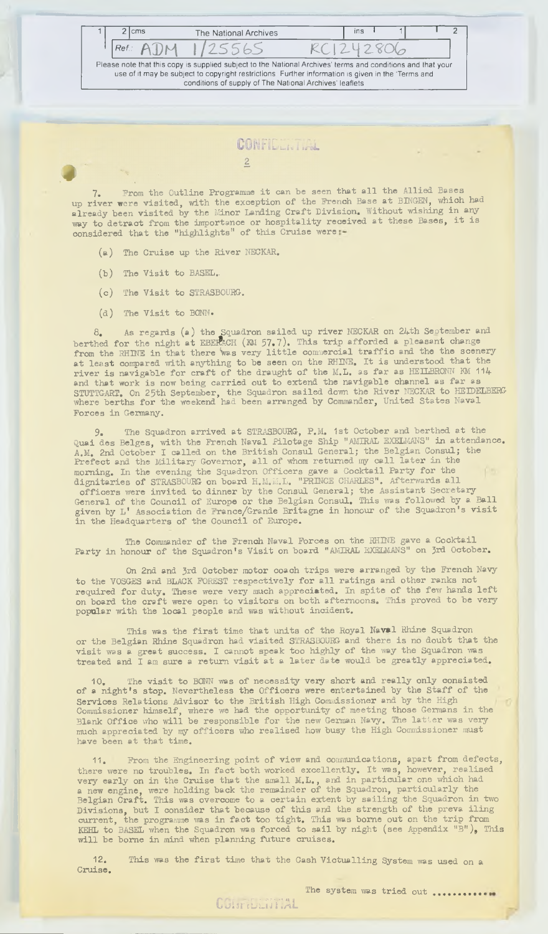| 2 Icms |     | The National Archives                                                                                                                                                                                                                                                        | ins |          |  |
|--------|-----|------------------------------------------------------------------------------------------------------------------------------------------------------------------------------------------------------------------------------------------------------------------------------|-----|----------|--|
| Ref.:  | ATM | 125565                                                                                                                                                                                                                                                                       |     | C1242806 |  |
|        |     | Please note that this copy is supplied subject to the National Archives' terms and conditions and that your<br>use of it may be subject to copyright restrictions. Further information is given in the 'Terms and<br>conditions of supply of The National Archives' leaflets |     |          |  |

7. From the Outline Programme it can be seen that all the Allied Bases up river were visited, with the exception of the French Base at BINGEN, which had a lready been **visited** by the Minor Landing Craft Division. Without wishing in any way to detract from the importance or hospitality received at these Bases, it is **considered that the "h igh ligh t s" o f th is C ru ise were**

- (a) The Cruise up the River NECKAR.
- (b) The Visit to BASEL.
- (c) The Visit to STRASBOURG.
- (d) The Visit to BONN.

**8. As regards ( a ) the Squadron s a iled up r iv e r NECKAR on 24th September and** berthed for the night at EBERACH (KM 57.7). This trip afforded a pleasant change from the RHINE in that there was very little commercial traffic and the the scenery **a t le a s t compared w ith anything to be seen on the RHINE. I t i s understood that the r iv e r i s nav igab le fo r c ra ft o f the draught o f the M.L, as fa r as HEILBRONN KM 114** and that work is now being carried out to extend the navigable channel as far as STUTTGART. On 25th September, the Squadron sailed down the River NECKAR to HEIDELBERG where berths for the weekend had been arranged by Commander, United States Naval **Forces in Germany.**

**9. The Squadron arrived at STRASBOURG, P.M. 1st October and berthed at the** Quai des Belges, with the French Naval Pilotage Ship "AMIRAL EXELMANS" in attendance. A.M. 2nd October I called on the British Consul General; the Belgian Consul; the Prefect and the Military Governor, all of whom returned my call later in the morning. In the evening the Squadron Officers gave a Cocktail Party for the **d ig n ita r ie s o f STRASBOURG on board H.M.M.L. "PRINCE CHARLES". Afterwards a l l officers were invited to dinner by the Consul General; the Assistant Secretary** General of the Council of Europe or the Belgian Consul. This was followed by a Bell given by L' Association de France/Grande Britagne in honour of the Squadron's visit in the Headquarters of the Council of Europe.

The Commander of the Fren**ch** Naval Forces on the RHINE gave a Cocktail Party in honour of the Squadron's Visit on board "AMIRAL EXELMANS" on 3rd October.

On 2nd and 3rd October motor coach trips were arranged by the French Navy to the VOSGES and BLACK FOREST respectively for all ratings and other ranks not required for duty. These were very much appreciated. In spite of the few hands left on board the craft were open to visitors on both afternoons. This proved to be very popular with the local people and was without incident.

This was the first time that units of the Royal Na**va**l Rhine Squadron or the Belg**ian Rhine S**quadron had visited STRASBOURG and there is no doubt that the **visit was a great success. I cannot speak too highly of the way the Squadron was** treated and I am sure a return visit at a later date would be greatly appreciated.

**10. The visit to BONN was of necessity very short and really only consisted of a night's stop.** Nevertheless the Officers were entertained by the Staff of the Services Relations Advisor to the British High Commissioner and by the High Commissioner himself, where we had the opportunity of meeting those Germans in the **Blank O ffic e who w i l l be respon sib le fo r the new German Navy. The la t t e r was very** much appreciated by my officers who realised how busy the High Commissioner must **have been at that time.**

11. From the Engineering point of view and communications, apart from defects, there were no troubles. In fact both worked excellently. It was, however, realised **very early on in the Cruise that the small M.L., and in particular one which had** a new engine, were holding back the remainder of the Squadron, particularly the **B e lg ian C ra ft . This was overcome to a certa in extent by s a i l in g the Squadron in two** Divisions, but I consider that because of this and the strength of the preva iling current, the programme was in fact too tight. This was borne out on the trip from **KEHL to** BASEL when the Squadron was forced to sail by night (see Appendix "B"), This **w i l l be borne in mind when planning fu ture cru ises .**

12. This was the first time that the Cash Victualling System was used on a **Cruise.**

The system was tried out .............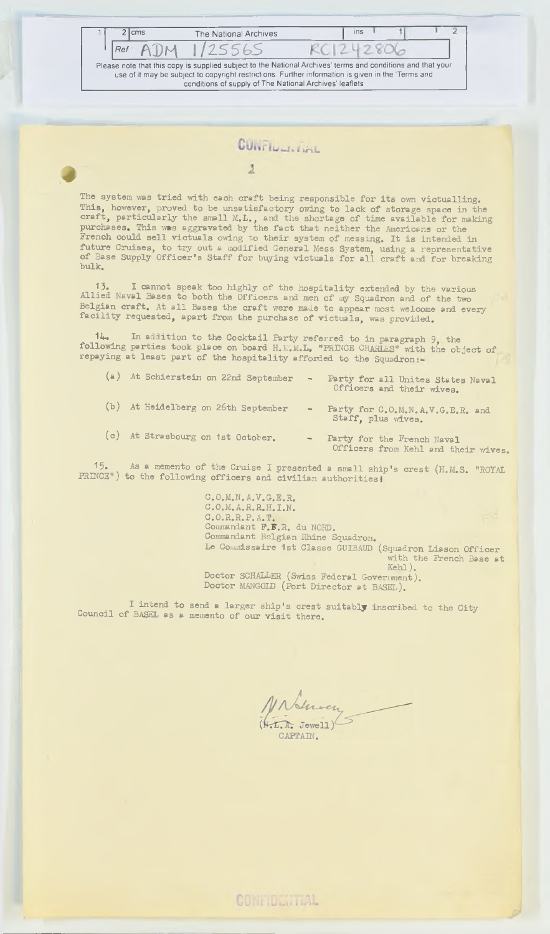2 cms The National Archives u  $B$   $R$ <sub>DM</sub>  $1/2$  S 5 6 S K ( 12 2806 **Please note that this copy is supplied subject to the National Archives' terms and conditions and that your use of it may be subject to copyright restrictions Further information is given in the Terms and conditions of supply of The National Archives' leaflets**

### **CUNTILL** FINL

 $\overline{2}$ 

The system was tried with each craft being responsible for its own victualling. This, however, proved to be unsatisfactory owing to lack of storage space in the craft, particularly the small M.L., and the shortage of time available for making purchases. This was aggravated by the fact that neither the Americans or the **French could s e l l v ic tu a ls owing to th e ir system o f messing. I t i s intended in fu ture C ru ises, to try out a modified General Mess System, using a representative** of Base Supply Officer's Staff for buying victuals for all craft and for breaking **bu lk.**

**13.** I cannot speak too highly of the hospitality extended by the various<br>Allied Naval Bases to both the Officers and men of my Squadron and of the two Belgian craft. At all Bases the craft were made to appear most welcome and every facility requested, apart from the purchase of victuals, was provided.

**14\*. In add ition to the C ockta il Party re fe rred to in paragraph 9 the following parties took place on board H.R.M.L. "PRINCE CHARLES" with the object of** repaying at least part of the hospitality afforded to the Squadron

| (a) At Schierstein on 22nd September | $\sim$ | Party for all Unites States Naval<br>Officers and their wives.    |
|--------------------------------------|--------|-------------------------------------------------------------------|
| (b) At Heidelberg on 26th September  | $\sim$ | Party for C.O.M.N.A.V.G.E.R. and<br>Staff, plus wives.            |
| (c) At Strasbourg on 1st October.    | $\sim$ | Party for the French Naval<br>Officers from Kehl and their wives. |
|                                      |        |                                                                   |

15. As a memento of the Cruise I presented a small ship's crest (H.M.S. "ROYAL **PRINCE")** to the following officers and civilian authorities,

> **C .O .M .N.A.V.G.E.R. C.O.M.A.R. R.H. I.N . C .O .R .R .P. A.T. i** Commandant F.F.R. du NORD. Commandant Belgian Rhine Squadron. Le Commissaire 1st Classe GUIBAUD (Squadron Liason Officer with the French Base at Kehl). Doctor SCHALLER (Swiss Federal Government). Doctor MANGOLD (Port Director at BASEL).

I intend to send a larger ship's crest suitably inscribed to the City Council of BASEL as a memento of our visit there.

APTAIN.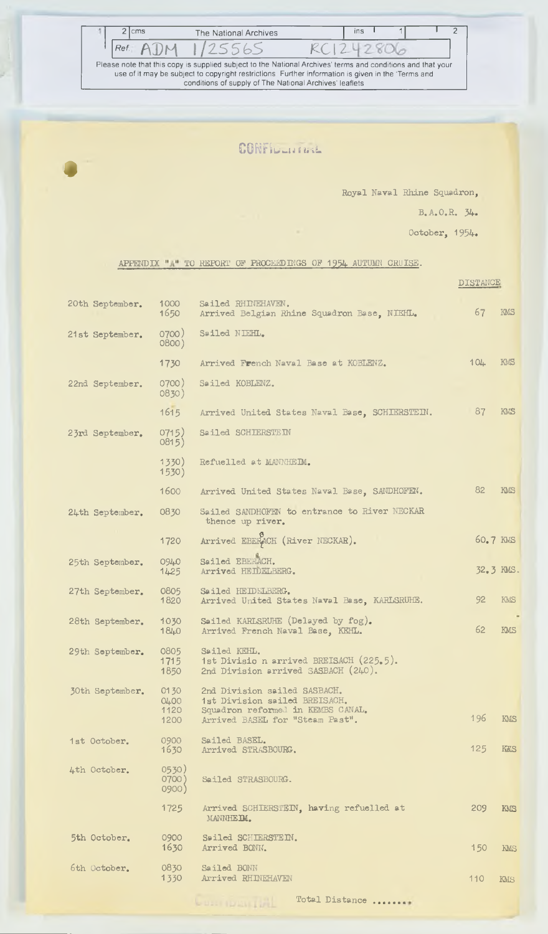| 2 cms |                      | The National Archives                                                                                       |           | ins |  |  |
|-------|----------------------|-------------------------------------------------------------------------------------------------------------|-----------|-----|--|--|
|       | $Ref.$ A $\bigcap M$ | 1125565                                                                                                     | KCl242806 |     |  |  |
|       |                      | Please note that this copy is supplied subject to the National Archives' terms and conditions and that your |           |     |  |  |
|       |                      | use of it may be subject to copyright restrictions. Further information is given in the 'Terms and          |           |     |  |  |
|       |                      | conditions of supply of The National Archives' leaflets                                                     |           |     |  |  |

### CONFILLMAN

*4*

k

**Royal Naval Rhine Squadron,**

**B.A.O.R. 34.**

**October, 1954.**

### **APPENDIX TO RKPORT OF PROCEEDINGS ON 1954 AUTUMN CRUISE.**

|                 |                         |                                                                                                    | DISTANCE  |            |
|-----------------|-------------------------|----------------------------------------------------------------------------------------------------|-----------|------------|
| 20th September. | 1000<br>1650            | Sailed RHINEHAVEN.<br>Arrived Belgian Rhine Squadron Base, NIEHL.                                  | 67        | KMS        |
| 21st September. | 0700)<br>0800)          | Sailed NIEHL.                                                                                      |           |            |
|                 | 1730                    | Arrived French Naval Base at KOBLENZ.                                                              | 104       | KMS        |
| 22nd September. | 0700)<br>0830)          | Sailed KOBLENZ.                                                                                    |           |            |
|                 | 1615                    | Arrived United States Naval Base, SCHIERSTEIN.                                                     | 87        | KMS        |
| 23rd September. | 0715)<br>0815)          | Sailed SCHIERSTEIN                                                                                 |           |            |
|                 | 1330)<br>1530)          | Refuelled at MANNHEIM.                                                                             |           |            |
|                 | 1600                    | Arrived United States Naval Base, SANDHOFEN.                                                       | 82        | <b>KMS</b> |
| 24th September. | 0830                    | Sailed SANDHOFEN to entrance to River NECKAR<br>thence up river.                                   |           |            |
|                 | 1720                    | Arrived EBERACH (River NECKAR).                                                                    | 60.7 KMS  |            |
| 25th September. | 0940<br>1425            | Sailed EBERACH.<br>Arrived HEIDELBERG.                                                             | 32.3 KMS. |            |
| 27th September. | 0805<br>1820            | Sailed HEIDELBERG.<br>Arrived United States Naval Base, KARLSRUHE.                                 | 92        | KMS        |
| 28th September. | 1030<br>1840            | Sailed KARLSRUHE (Delayed by fog).<br>Arrived French Naval Base, KEHL.                             | 62        | KMS        |
| 29th September. | 0805<br>1715<br>1850    | Sailed KEHL.<br>1st Divisio n arrived BREISACH (225.5).<br>2nd Division arrived SASBACH (240).     |           |            |
| 30th September. | 0130<br>04.00<br>1120   | 2nd Division sailed SASBACH.<br>1st Division sailed BREISACH.<br>Squedron reformed in KEMBS CANAL. |           |            |
|                 | 1200                    | Arrived BASEL for "Steam Past".                                                                    | 196       | KMS        |
| 1st October.    | 0900<br>1630            | Sailed BASEL.<br>Arrived STRASBOURG.                                                               | 125       | KKS        |
| 4th October.    | 0530)<br>0700)<br>0900) | Sailed STRASBOURG.                                                                                 |           |            |
|                 | 1725                    | Arrived SCHIERSTEIN, having refuelled at<br>MANNHEIM.                                              | 209       | KMS        |
| 5th October.    | 0900<br>1630            | Sailed SCHIERSTEIN.<br>Arrived BONN.                                                               | 150       | KMS        |
| 6th October.    | 0830<br>1330            | Sailed BONN<br>Arrived RHINEHAVEN                                                                  | 110       | KMS        |
|                 |                         | Total Distance                                                                                     |           |            |

**AUDIT DESIGNED**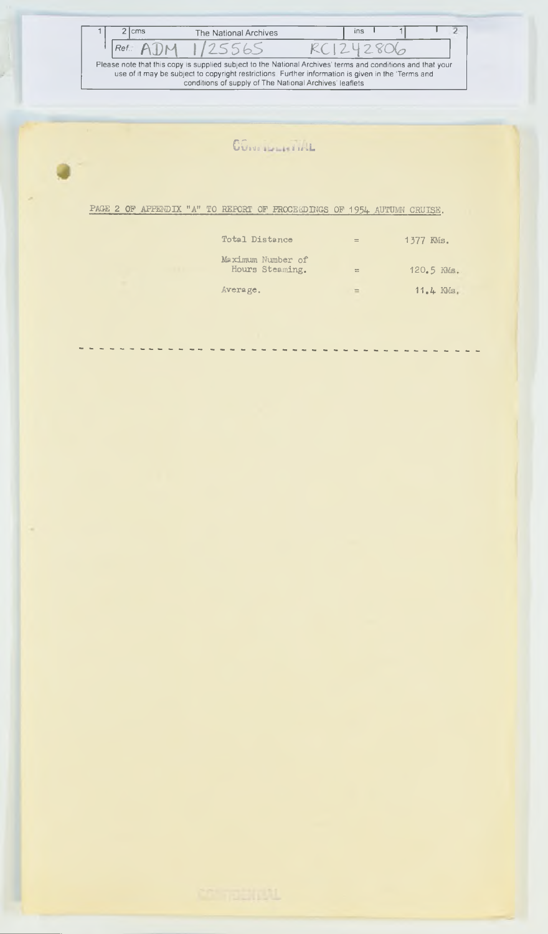| <b>cms</b> | The National Archives                                   | ins                                                                                                                                                                                                               |  |
|------------|---------------------------------------------------------|-------------------------------------------------------------------------------------------------------------------------------------------------------------------------------------------------------------------|--|
| Ref.       | 1725565                                                 |                                                                                                                                                                                                                   |  |
|            | conditions of supply of The National Archives' leaflets | Please note that this copy is supplied subject to the National Archives' terms and conditions and that your<br>use of it may be subject to copyright restrictions. Further information is given in the 'Terms and |  |

## **CGb tilt' ii tij-uL**

**PAGE 2 OP APPENDIX "A" TO REPORT OF PROCEEDINGS OF 1954 AUTUMN CRUISE.**

| Total Distance                       | $=$       | 1377 KMs.   |
|--------------------------------------|-----------|-------------|
| Maximum Number of<br>Hours Steaming. | $\approx$ | 120.5 KMs.  |
| Average.                             | $=$       | $11.4$ KMs. |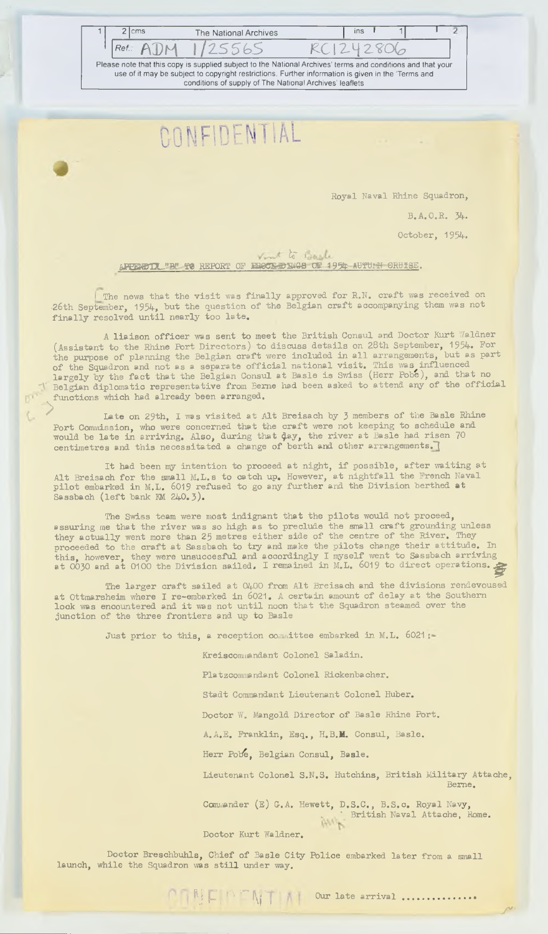| 2 Icms | The National Archives                                                                                                                                                                                             | <b>Ins</b> |  |
|--------|-------------------------------------------------------------------------------------------------------------------------------------------------------------------------------------------------------------------|------------|--|
| Ref.   | 75565                                                                                                                                                                                                             |            |  |
|        | Please note that this copy is supplied subject to the National Archives' terms and conditions and that your<br>use of it may be subject to copyright restrictions. Further information is given in the 'Terms and |            |  |
|        | conditions of supply of The National Archives' leaflets                                                                                                                                                           |            |  |

**Royal Naval Rhine Squadron,**

**B .A .O .R . 34.**

**October, 1954.**

Vint to Bash **APPENDIX.'B!'-TO REPORT OF ERCCK-DIMGS OF 1954- AUTURN ORUISE.** 

The news that the visit was finally approved for R.N. craft was received on 26th September, 1954, but the question of the Belgian craft accompanying them was not **f i n a l ly reso lved u n t i l nearly too la te ,**

A liaison officer was sent to meet the British Consul and Doctor Kurt Waldner (Assistant to the Rhine Port Directors) to discuss details on 28th September, 1954. For<br>the purpose of planning the Belgian craft were included in all arrangements, but as part the purpose of planning the Belgian craft were included in all arrangements, but as part of the Squadron and not as a separate official national visit. This was influenced largely by the fact that the Belgian Consul at Basle is Swiss (Herr Pobe), and that no **'V Belgian diplomatic representative from Berne had been asked to attend any of the official functions which had already been arranged.**

Late on 29th, I was visited at Alt Breisach by 3 members of the Basle Rhine Port Commission, who were concerned that the craft were not keeping to schedule and would be late in arriving. Also, during that  $\frac{1}{2}$  the river at Basle had risen  $/0$ **centimetres and this necessitated a change of berth and other arrangements.** 

It had been my intention to proceed at night, if possible, after waiting at Alt Breisech for the small M.L.s to catch up. However, at nightfall the French Naval **p i l o t embarked in M.L. 6019 refused to go any fu rth e r and the D iv is io n berthed at Sassbach ( l e f t bank KM 240.3 ).**

The Swiss team were most indignant that the pilots would not proceed, assuring me that the river was so high as to preclude the small craft grounding unless they actually went more than 25 metres either side of the centre of the River. They proceeded to the craft at Sassbach to try and make the pilots change their attitude. In this, howe**ver,** they were unsuccesful and accordingly I myself went to Sassbach arriving **at 0030 and at 0100 the Division sailed. I remained in M.L. 6019 to direct operations.**  $\epsilon$ 

The larger craft sailed at 0400 from Alt Breisach and the divisions rendevoused at Ottmarsheim where I re-embarked in 6021. A certain amount of delay at the Southern lock was encountered and it was not until noon that the Squadron steamed over the junction of the three frontiers and up to Basle

Just prior to this, a reception committee embarked in M.L. 6021:

**Kreiscommandant Colonel Saladin .**

**Platzcommandant Colonel Rickenbacher.**

Stadt Commandant Lieutenant Colonel Huber.

Doctor W. Mangold Director of Basle Rhine Port.

**MEDITI Our late arrival ..............** 

A.A.E. Franklin, Esq., H.B.M. Consul, Basle.

Herr Pobe, Belgian Consul, Basle.

Lieutenant Colonel S.N.S. Hutchins, British Military Attache, **Berne.**

**- V 5'-**

**Commander ( e ) G.A. Hewett, D .S .C ., B .S .c . Royal Navy, . . . . " British Naval Attache, Rome.** 

**Doctor Kurt Waldner.**

Doctor Breschbuhls, Chief of Basle City Police embarked later from a small launch, while the Squadron was still under way.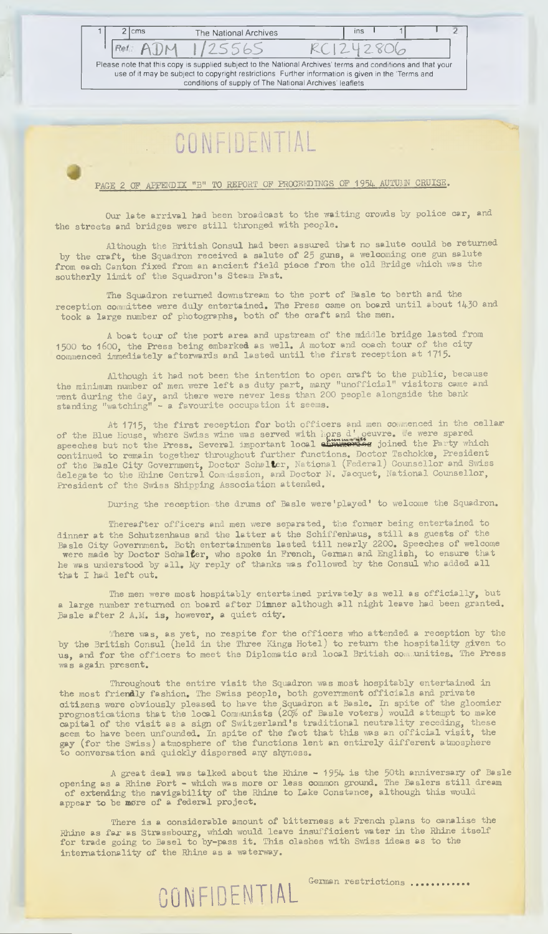2 cms The National Archives ins I Ref ADM 1/25565 RC1242806 **Please note that this copy is supplied subject to the National Archives' terms and conditions and that your use of it may be subject to copyright restrictions Further information is given in the 'Terms and conditions of supply of The National Archives' leaflets**

PAGE 2 OF APPENDIX "B" TO REPORT OF PROCEEDINGS OF 1954 AUTUMN CRUISE.

Our late arrival had been broadcast to the waiting crowds by police car, and the streets and bridges were still thronged with people.

Although the British Consul had been assured that no salute could be returned by the craft, the Squadron received a salute of 25 guns, a welcoming one gun salute from each Canton fixed from an ancient field piece from the old Bridge which was the southerly limit of the Squadron's Steam Past.

The Squadron returned downstream to the port of Basle to berth and the reception committee were duly entertained. The Press came on board until about 1430 and took a large number of photographs, both of the craft and the men.

A boat tour of the port area and upstream of the middle bridge lasted from 1500 to 1600, the Press being embarked as well. A motor and coach tour of the city commenced immediately afterwards and lasted until the first reception at 1715.

Although it had not been the intention to open craft to the public, because the minimum number of men were left as duty part, many "unofficial" visitors came and went during the day, and there were never less than 200 people alongside the bank standing "watching" – a favourite occupation it seems.

At 1715, the first reception for both officers and men commenced in the cellar of the Blue House, where Swiss wine was served with *iors* d'oeuvre. We were spared speeches but not the Press. Several important local <del>chaumowing</del> joined the Party which continued to remain together throughout further functions. Doctor Tschokke, President of the Basle City Government, Doctor Schal**t**er, National (Federal*)* Counsellor and Swiss delegate to the Rhine Central Commission, and Doctor N. Jacquet, National Counsellor, President of the Swiss Shipping Association attended.

During the reception the drums of Basle were'played' to welcome the Squadron.

**Thereafter o f f ic e r s and men were separated, the former be ing entertained to** dinner at the Schutzenhaus and the latter at the Schiffenhaus, still as guests of the Basle City Government. Both entertainments lasted till nearly 2200. Speeches of welcome **were made by Doctor SchalCer, who spoke in French, German and Eng lish , to ensure that** he was understood by all. My reply of thanks was followed by the Consul who added all that I had left out.

The men were most hospitably entertained privately as well as officially, but a large number returned on board after Dimner although all night leave had been granted. Basle after 2 A.M. is, however, a quiet city.

The**re** was, as yet, no respite for the officers who attended a reception by the by the British Consul (held in the Three Kings Hotel) to return the hospitality given to us, and for the officers to meet the Diplomatic and local British communities. The Press **was aga in present.**

Throughout the entire visit the Squadron was most hospitably entertained in the most frie**nd**ly fashion. The Swiss people, both government officials and private **citi**zens were obviously pleased to have the Squadron at Basle. In spite of the gloomier prognostications that the local Communists (20% of Basle voters) would attempt to make capital of the visit as a sign of Switzerland's traditional neutrality receding, these seem to have been unfounded. In spite of the fact that this was an official visit, the gay (for the Swiss) atmosphere of the functions lent an entirely different atmosphere to conversation and quickly dispersed any shyness.

A great deal was talked about the Rhine - 1954 is the 50th anniversary of Basle opening as a Rhine Port - which was more or less **c**ommon ground. The Baslers still dream **of extending the navigability of the Rhine to Lake Constance, although this would** appea**r to be more of a federal project.** 

There is a considerable amount of bitterness at French plans to canalise the Rhine as far as Strassbourg, which would leave insufficient water in the Rhine itself **for trade going to Basel to by-pass it. This clashes with Swiss ideas as to the** internationality of the Rhine as a waterway.

**CONFIDENTIAL German restrictions** ...........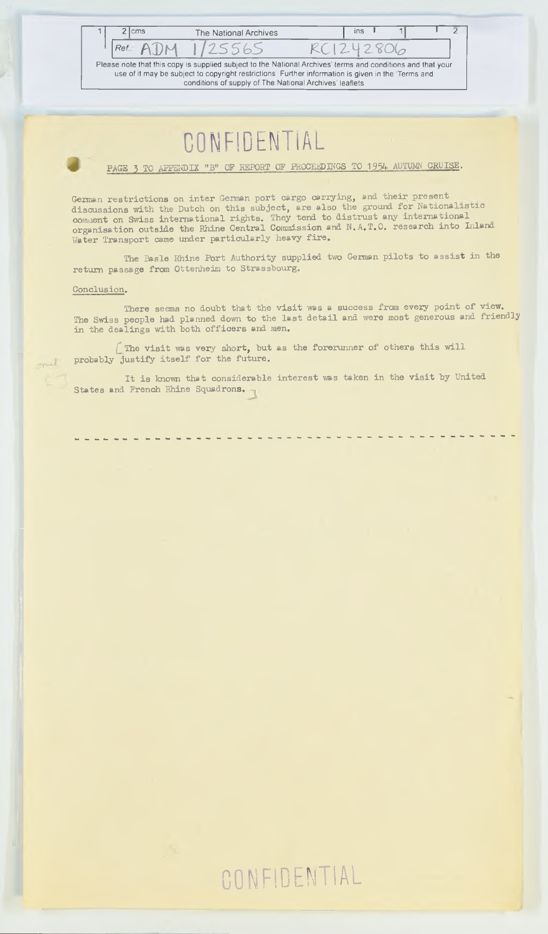

**PAGE 3 TO APPENDIX "B" OF REPORT OF PROCEEDINGS TO 1954 AUTUMN CRUISE.**

German restrictions on inter German port cargo carrying, and their present discussions with the Dutch on this subject, are also the ground for Nationalistic comment on Swiss international rights. They tend to distrust any international **organisation outside the Rhine Central Commission and N.A.T.O. research into Inland** Water Transport came under particularly heavy fire.

The Basle Rhine Port Authority supplied two German pilots to assist in the **return passage from Ottenheim to Strassbourg.**

### **Conclusion.**

л

There seems no doubt that the visit was a success from every point of view. The Swiss people had planned down to the last detail and were most generous and friendly in the dealings with both officers and men.

*[* **The visit was very short, but as the forerunner of others this will** probably justify itself for the future.

It is known that considerable interest was taken in the visit by United **States and French Rhine Squadrons.**

# **CONFIDENTIAL**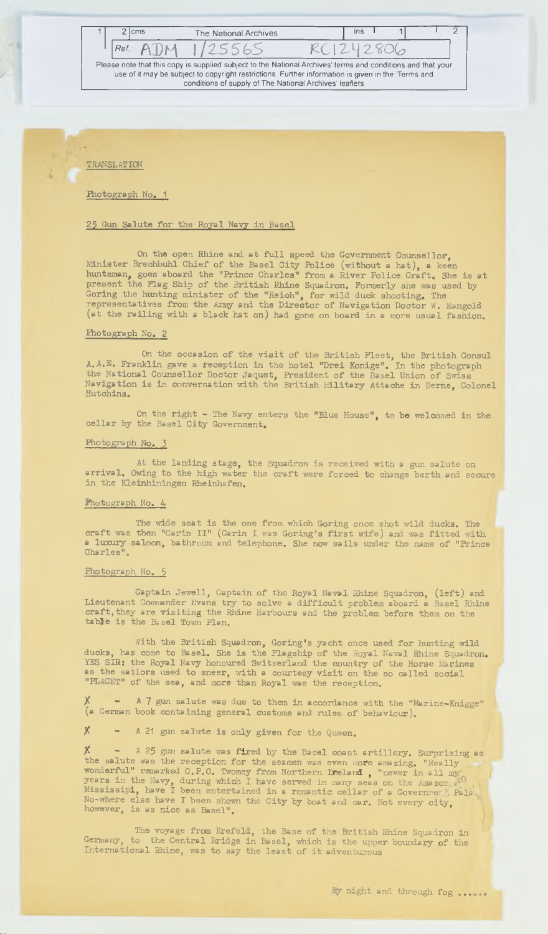**Ref.** ADM 1/25565 RC1242806 **Please note that this copy is supplied subject to the National Archives' terms and conditions and that your use of it may be subject to copyright restrictions. Further information is given in the Terms and**

**conditions of supply of The National Archives' leaflets**

2 cms The National Archives | ins I 1

ō

**TRANSLATION**

**Photograph No. 1**

### 25 Gun Salute for the Royal Navy in Basel

On the open Rhine and at full speed the Government Counsellor, Minister Brechbuhl Chief of the Basel City Police (without a hat), a keen huntsman, goes aboard the "Prince Charles" from a River Police Craft. She is at present the Flag Ship of the British Rhine Squadron. Formerly she was used by **Goring the hunting m in ister o f the "Reioh ", fo r w ild duck shooting. The representatives from the Army and the D irecto r o f Nav igation Doctor W. Mangold** (at the railing with a black hat on) had gone on board in a more usual fashion.

### **Photograph No, 2**

On the occasion of the visit of the British Fleet, the British Consul **A .A .E . Frank lin gave a reception in the hote l "D re i Konige". In the photograph** the National Counsellor Doctor Jaquet, President of the Basel Union of Swiss Navigation is in conversation with the British Military Attache in Berne, Colonel **Hutohins.**

On the right - The Navy enters the "Blue House", to be welcomed in the cellar by the Basel City Government.

#### **Photograph No, 3**

At the landing stage, the Squadron is received with a gun salute on arrival. Owing to the high water the craft were forced to change berth and secure in the Kleinhiningen Rheinhafen.

### **Photograph No. 4**

The wide seat is the one from which Goring once shot wild ducks. The craft was then "Carin II" (Carin I was Goring's first wife) and was fitted with **a** luxury saloon, bathroom and telephone. She now sails under the name of "Prince<br>Charles".

### **Photograph No, 5**

Captain Jewell, Captain of the Royal Naval Rhine Squadron, (left) and **Lieutenant Commander Evans try to solve a difficult problem aboard a Basel Rhine** craft, they are visiting the Rhine Harbours and the problem before them on the **ta b le is the Basel Town Plan.**

With the British Squadron, Goring's yacht once used for hunting wild ducks, has come to Basel. She is the Flagship of the Royal Naval Rhine Squadron. YES SIR: the Royal Navy honoured Switzerland the country of the Horse Marines **as the sailors used to sneer, with a courtesy visit on the so called social** "PLACET" of the sea, and more than Royal was the reception.

A 7 gun salute was due to them in accordance with the "Marine-Knigge" (a German book containing general customs and rules of behaviour).

**X** - A 21 gun salute is only given for the Queen.

A 25 gun salute was fired by the Basel coast artillery. Surprising as the salute was the reception for the seamen was even more amazing. "Really **wonderful" remarked C.P.O. Twomey from Northern Ireland , "never in all my/ years in the Navy, during which I have served in many seas on the Aina zor. i, Mississipi, have I been entertained in a romantic cellar of a Governmer A Pala**L No-where eise have I been shown the City by boat and car. Not every city,<br>however, is as nice as Basel".

The voyage from Krefeld, the Base of the British Rhine Squadron in Germany, to the Central Bridge in Basel, which is the upper boundary of the **In tern ation a l Rhine, was to say the le a s t o f i t adventurous**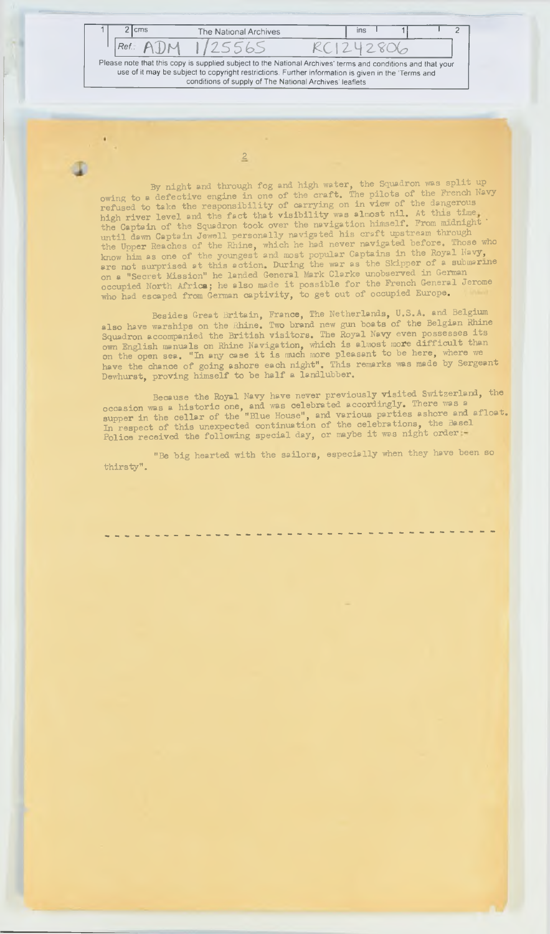Ref.: ADM 1/25565 RC1242806 **Please note that this copy is supplied subject to the National Archives' terms and conditions and that your use of it may be subject to copyright restrictions. Further information is given in the Terms and conditions of supply of The National Archives' leaflets** 2 cms The National Archives | ins 1 1 1 2

2

By night and through fog and high water, the Squadron was split up owing to a defective engine in one of the craft. The pilots of the French Navy refused to take the responsibility of carrying on in view of the dangerous high river level and the fact that visibility was almost nil. At this time, the Captain of the Squadron took over the navigation himself. From midnight until dewn Ceptain Jewell personally navigated his craft upstream through the Upp**er** Reaches of the Rhine, which he had never navigated before. Those who know him as one of the youngest and most popular Captains in the Royal Navy, are not surprised at this action. During the war as the Skipper of a submarine on a "Secret Mission" he landed General Mark Clarke unobserved in German **occupied North Africa; he also made it possible for the French General Jerome** who had escaped from German captivity, to get out of occupied Europe.

Besides Great Britain, France, The Netherlands, U.S.A. and Beigium also have warships on the Rhine. Two brand new gun boats of the Belgian Rhine Squadron accompanied the British visitors. The Royal Navy even possesses its own English manuals on Rhine Navigation, which is almost more difficult than on the open sea. "In any case it is much more pleasant to be here, where we have the chance of going ashore each night". This remarks was made by Sergeant Dewhurst, proving himself to be half a landlubber.

Because the Royal Navy have never previously visited Switzerland, the **occasion was a historic one, and was celebrated accordingly. There was a** supper in the cellar of the "Blue House", and various parties ashore and allow. In respect of this unexpected continuation of the celebrations, the Basel Police received the following special day, or maybe it was night order

"Be big hearted with the sailors, especially when they have been so **th ir s ty " .**